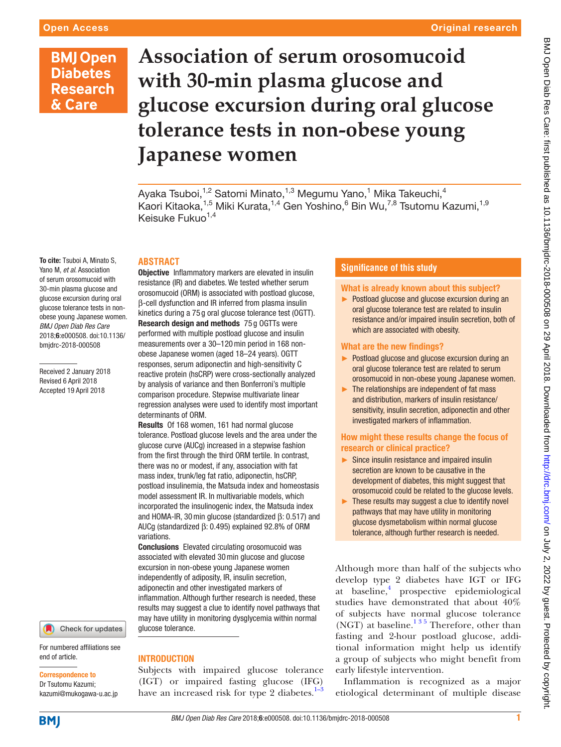& Care

# Original research

# **Association of serum orosomucoid BMJ Open Diabetes with 30-min plasma glucose and Research glucose excursion during oral glucose tolerance tests in non-obese young Japanese women**

Ayaka Tsuboi,<sup>1,2</sup> Satomi Minato,<sup>1,3</sup> Megumu Yano,<sup>1</sup> Mika Takeuchi,<sup>4</sup> Kaori Kitaoka, $^{1,5}$  Miki Kurata, $^{1,4}$  Gen Yoshino, $^6$  Bin Wu, $^{7,8}$  Tsutomu Kazumi, $^{1,9}$ Keisuke Fukuo<sup>1,4</sup>

# **Abstract**

To cite: Tsuboi A, Minato S, Yano M, *et al*. Association of serum orosomucoid with 30-min plasma glucose and glucose excursion during oral glucose tolerance tests in nonobese young Japanese women. *BMJ Open Diab Res Care* 2018;6:e000508. doi:10.1136/ bmjdrc-2018-000508

Received 2 January 2018 Revised 6 April 2018 Accepted 19 April 2018



For numbered affiliations see end of article.

#### Correspondence to

Dr Tsutomu Kazumi; kazumi@mukogawa-u.ac.jp **Objective** Inflammatory markers are elevated in insulin resistance (IR) and diabetes. We tested whether serum orosomucoid (ORM) is associated with postload glucose, β-cell dysfunction and IR inferred from plasma insulin kinetics during a 75 g oral glucose tolerance test (OGTT). Research design and methods 75 g OGTTs were performed with multiple postload glucose and insulin measurements over a 30–120min period in 168 nonobese Japanese women (aged 18–24 years). OGTT responses, serum adiponectin and high-sensitivity C reactive protein (hsCRP) were cross-sectionally analyzed by analysis of variance and then Bonferroni's multiple comparison procedure. Stepwise multivariate linear regression analyses were used to identify most important determinants of ORM.

Results Of 168 women, 161 had normal glucose tolerance. Postload glucose levels and the area under the glucose curve (AUCg) increased in a stepwise fashion from the first through the third ORM tertile. In contrast, there was no or modest, if any, association with fat mass index, trunk/leg fat ratio, adiponectin, hsCRP, postload insulinemia, the Matsuda index and homeostasis model assessment IR. In multivariable models, which incorporated the insulinogenic index, the Matsuda index and HOMA-IR, 30min glucose (standardized β: 0.517) and AUCg (standardized β: 0.495) explained 92.8% of ORM variations.

Conclusions Elevated circulating orosomucoid was associated with elevated 30min glucose and glucose excursion in non-obese young Japanese women independently of adiposity, IR, insulin secretion, adiponectin and other investigated markers of inflammation. Although further research is needed, these results may suggest a clue to identify novel pathways that may have utility in monitoring dysglycemia within normal glucose tolerance.

# **INTRODUCTION**

Subjects with impaired glucose tolerance (IGT) or impaired fasting glucose (IFG) have an increased risk for type 2 diabetes. $1-3$ 

# **Significance of this study**

## What is already known about this subject?

► Postload glucose and glucose excursion during an oral glucose tolerance test are related to insulin resistance and/or impaired insulin secretion, both of which are associated with obesity.

## What are the new findings?

- ► Postload glucose and glucose excursion during an oral glucose tolerance test are related to serum orosomucoid in non-obese young Japanese women.
- ► The relationships are independent of fat mass and distribution, markers of insulin resistance/ sensitivity, insulin secretion, adiponectin and other investigated markers of inflammation.

## How might these results change the focus of research or clinical practice?

- ► Since insulin resistance and impaired insulin secretion are known to be causative in the development of diabetes, this might suggest that orosomucoid could be related to the glucose levels.
- ► These results may suggest a clue to identify novel pathways that may have utility in monitoring glucose dysmetabolism within normal glucose tolerance, although further research is needed.

Although more than half of the subjects who develop type 2 diabetes have IGT or IFG at baseline,<sup>[4](#page-5-0)</sup> prospective epidemiological studies have demonstrated that about 40% of subjects have normal glucose tolerance (NGT) at baseline. $135$  Therefore, other than fasting and 2-hour postload glucose, additional information might help us identify a group of subjects who might benefit from early lifestyle intervention.

Inflammation is recognized as a major etiological determinant of multiple disease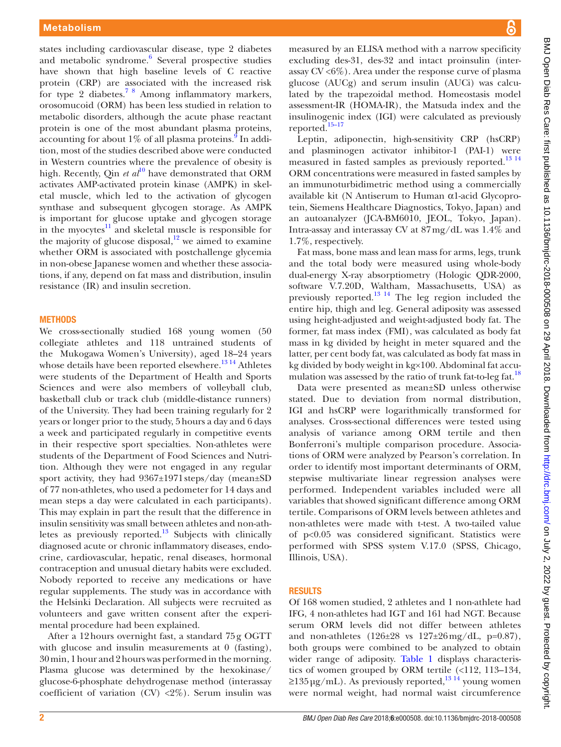states including cardiovascular disease, type 2 diabetes and metabolic syndrome.<sup>6</sup> Several prospective studies have shown that high baseline levels of C reactive protein (CRP) are associated with the increased risk for type 2 diabetes.<sup>[7 8](#page-5-2)</sup> Among inflammatory markers, orosomucoid (ORM) has been less studied in relation to metabolic disorders, although the acute phase reactant protein is one of the most abundant plasma proteins, accounting for about  $1\%$  of all plasma proteins. In addition, most of the studies described above were conducted in Western countries where the prevalence of obesity is high. Recently, Qin *et al*<sup>[10](#page-5-4)</sup> have demonstrated that ORM activates AMP-activated protein kinase (AMPK) in skeletal muscle, which led to the activation of glycogen synthase and subsequent glycogen storage. As AMPK is important for glucose uptake and glycogen storage in the myocytes $11$  and skeletal muscle is responsible for the majority of glucose disposal, $12$  we aimed to examine whether ORM is associated with postchallenge glycemia in non-obese Japanese women and whether these associations, if any, depend on fat mass and distribution, insulin resistance (IR) and insulin secretion.

#### **METHODS**

We cross-sectionally studied 168 young women (50 collegiate athletes and 118 untrained students of the Mukogawa Women's University), aged 18–24 years whose details have been reported elsewhere.<sup>[13 14](#page-5-7)</sup> Athletes were students of the Department of Health and Sports Sciences and were also members of volleyball club, basketball club or track club (middle-distance runners) of the University. They had been training regularly for 2 years or longer prior to the study, 5hours a day and 6 days a week and participated regularly in competitive events in their respective sport specialties. Non-athletes were students of the Department of Food Sciences and Nutrition. Although they were not engaged in any regular sport activity, they had 9367±1971steps/day (mean±SD of 77 non-athletes, who used a pedometer for 14 days and mean steps a day were calculated in each participants). This may explain in part the result that the difference in insulin sensitivity was small between athletes and non-athletes as previously reported.<sup>13</sup> Subjects with clinically diagnosed acute or chronic inflammatory diseases, endocrine, cardiovascular, hepatic, renal diseases, hormonal contraception and unusual dietary habits were excluded. Nobody reported to receive any medications or have regular supplements. The study was in accordance with the Helsinki Declaration. All subjects were recruited as volunteers and gave written consent after the experimental procedure had been explained.

After a 12hours overnight fast, a standard 75g OGTT with glucose and insulin measurements at 0 (fasting), 30min, 1hour and 2hours was performed in the morning. Plasma glucose was determined by the hexokinase/ glucose-6-phosphate dehydrogenase method (interassay coefficient of variation (CV)  $\langle 2\% \rangle$ . Serum insulin was

measured by an ELISA method with a narrow specificity excluding des-31, des-32 and intact proinsulin (interassay  $CV < 6\%$ ). Area under the response curve of plasma glucose (AUCg) and serum insulin (AUCi) was calculated by the trapezoidal method. Homeostasis model assessment-IR (HOMA-IR), the Matsuda index and the insulinogenic index (IGI) were calculated as previously reported.[15–17](#page-5-8)

Leptin, adiponectin, high-sensitivity CRP (hsCRP) and plasminogen activator inhibitor-1 (PAI-1) were measured in fasted samples as previously reported.<sup>[13 14](#page-5-7)</sup> ORM concentrations were measured in fasted samples by an immunoturbidimetric method using a commercially available kit (N Antiserum to Human α1-acid Glycoprotein, Siemens Healthcare Diagnostics, Tokyo, Japan) and an autoanalyzer (JCA-BM6010, JEOL, Tokyo, Japan). Intra-assay and interassay CV at 87mg/dL was 1.4% and 1.7%, respectively.

Fat mass, bone mass and lean mass for arms, legs, trunk and the total body were measured using whole-body dual-energy X-ray absorptiometry (Hologic QDR-2000, software V.7.20D, Waltham, Massachusetts, USA) as previously reported. $^{13}$  <sup>14</sup> The leg region included the entire hip, thigh and leg. General adiposity was assessed using height-adjusted and weight-adjusted body fat. The former, fat mass index (FMI), was calculated as body fat mass in kg divided by height in meter squared and the latter, per cent body fat, was calculated as body fat mass in kg divided by body weight in kg×100. Abdominal fat accu-mulation was assessed by the ratio of trunk fat-to-leg fat.<sup>[18](#page-5-9)</sup>

Data were presented as mean±SD unless otherwise stated. Due to deviation from normal distribution, IGI and hsCRP were logarithmically transformed for analyses. Cross-sectional differences were tested using analysis of variance among ORM tertile and then Bonferroni's multiple comparison procedure. Associations of ORM were analyzed by Pearson's correlation. In order to identify most important determinants of ORM, stepwise multivariate linear regression analyses were performed. Independent variables included were all variables that showed significant difference among ORM tertile. Comparisons of ORM levels between athletes and non-athletes were made with t-test. A two-tailed value of p<0.05 was considered significant. Statistics were performed with SPSS system V.17.0 (SPSS, Chicago, Illinois, USA).

#### **RESULTS**

Of 168 women studied, 2 athletes and 1 non-athlete had IFG, 4 non-athletes had IGT and 161 had NGT. Because serum ORM levels did not differ between athletes and non-athletes (126±28 vs 127±26mg/dL, p=0.87), both groups were combined to be analyzed to obtain wider range of adiposity. [Table](#page-2-0) 1 displays characteristics of women grouped by ORM tertile (<112, 113–134,  $\geq$ 135 µg/mL). As previously reported,<sup>1314</sup> young women were normal weight, had normal waist circumference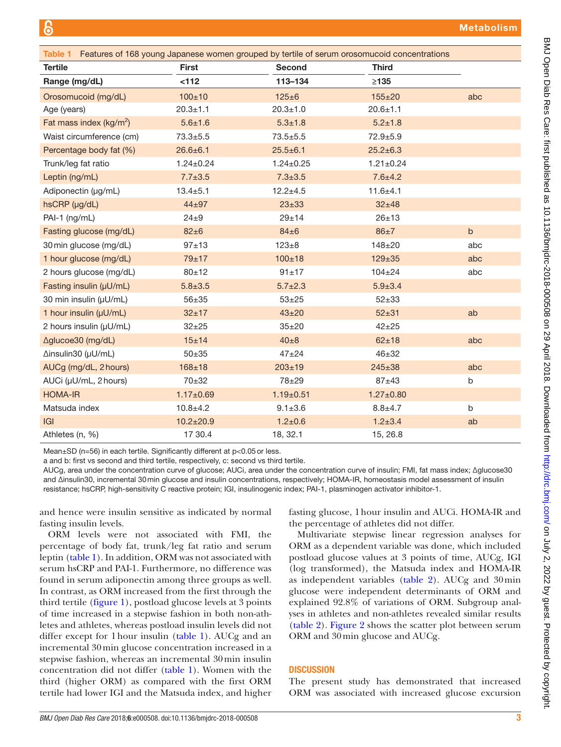<span id="page-2-0"></span>

| Features of 168 young Japanese women grouped by tertile of serum orosomucoid concentrations<br>Table 1 |                 |                 |                 |              |  |  |  |
|--------------------------------------------------------------------------------------------------------|-----------------|-----------------|-----------------|--------------|--|--|--|
| <b>Tertile</b>                                                                                         | <b>First</b>    | <b>Second</b>   | <b>Third</b>    |              |  |  |  |
| Range (mg/dL)                                                                                          | < 112           | 113-134         | $\geq$ 135      |              |  |  |  |
| Orosomucoid (mg/dL)                                                                                    | $100 + 10$      | $125 + 6$       | 155±20          | abc          |  |  |  |
| Age (years)                                                                                            | $20.3 + 1.1$    | $20.3 + 1.0$    | $20.6 + 1.1$    |              |  |  |  |
| Fat mass index ( $kg/m^2$ )                                                                            | $5.6 \pm 1.6$   | $5.3 \pm 1.8$   | $5.2 \pm 1.8$   |              |  |  |  |
| Waist circumference (cm)                                                                               | $73.3 \pm 5.5$  | $73.5 + 5.5$    | $72.9 + 5.9$    |              |  |  |  |
| Percentage body fat (%)                                                                                | $26.6 \pm 6.1$  | $25.5 \pm 6.1$  | $25.2 \pm 6.3$  |              |  |  |  |
| Trunk/leg fat ratio                                                                                    | $1.24 \pm 0.24$ | $1.24 \pm 0.25$ | $1.21 \pm 0.24$ |              |  |  |  |
| Leptin (ng/mL)                                                                                         | $7.7 \pm 3.5$   | $7.3 \pm 3.5$   | $7.6 + 4.2$     |              |  |  |  |
| Adiponectin (µg/mL)                                                                                    | $13.4 + 5.1$    | $12.2 \pm 4.5$  | $11.6 + 4.1$    |              |  |  |  |
| hsCRP (µg/dL)                                                                                          | $44 + 97$       | $23 + 33$       | $32 + 48$       |              |  |  |  |
| $PAI-1$ (ng/mL)                                                                                        | $24 \pm 9$      | $29 + 14$       | $26 + 13$       |              |  |  |  |
| Fasting glucose (mg/dL)                                                                                | $82 \pm 6$      | $84\pm 6$       | $86\pm7$        | $\mathsf{b}$ |  |  |  |
| 30 min glucose (mg/dL)                                                                                 | $97 + 13$       | $123 \pm 8$     | 148±20          | abc          |  |  |  |
| 1 hour glucose (mg/dL)                                                                                 | $79 + 17$       | $100 + 18$      | $129 \pm 35$    | abc          |  |  |  |
| 2 hours glucose (mg/dL)                                                                                | 80±12           | $91 \pm 17$     | $104 \pm 24$    | abc          |  |  |  |
| Fasting insulin (µU/mL)                                                                                | $5.8 + 3.5$     | $5.7 \pm 2.3$   | $5.9 \pm 3.4$   |              |  |  |  |
| 30 min insulin (µU/mL)                                                                                 | $56 + 35$       | $53 + 25$       | $52 + 33$       |              |  |  |  |
| 1 hour insulin (µU/mL)                                                                                 | $32 + 17$       | $43 + 20$       | $52 + 31$       | ab           |  |  |  |
| 2 hours insulin (µU/mL)                                                                                | $32+25$         | $35 + 20$       | $42 + 25$       |              |  |  |  |
| Aglucoe30 (mg/dL)                                                                                      | 15±14           | $40\pm8$        | $62 + 18$       | abc          |  |  |  |
| $\Delta$ insulin30 ( $\mu$ U/mL)                                                                       | $50 + 35$       | $47 + 24$       | $46 + 32$       |              |  |  |  |
| AUCg (mg/dL, 2 hours)                                                                                  | $168 + 18$      | $203 + 19$      | $245 \pm 38$    | abc          |  |  |  |
| AUCi (µU/mL, 2 hours)                                                                                  | $70 + 32$       | 78±29           | $87 + 43$       | b            |  |  |  |
| <b>HOMA-IR</b>                                                                                         | $1.17 + 0.69$   | $1.19 \pm 0.51$ | $1.27 \pm 0.80$ |              |  |  |  |
| Matsuda index                                                                                          | $10.8 + 4.2$    | $9.1 \pm 3.6$   | $8.8 + 4.7$     | b            |  |  |  |
| G                                                                                                      | $10.2 \pm 20.9$ | $1.2 \pm 0.6$   | $1.2 + 3.4$     | ab           |  |  |  |
| Athletes (n, %)                                                                                        | 17 30.4         | 18, 32.1        | 15, 26.8        |              |  |  |  |

Mean±SD (n=56) in each tertile. Significantly different at p<0.05or less.

a and b: first vs second and third tertile, respectively, c: second vs third tertile.

AUCg, area under the concentration curve of glucose; AUCi, area under the concentration curve of insulin; FMI, fat mass index; Δglucose30 and Δinsulin30, incremental 30min glucose and insulin concentrations, respectively; HOMA-IR, homeostasis model assessment of insulin resistance; hsCRP, high-sensitivity C reactive protein; IGI, insulinogenic index; PAI-1, plasminogen activator inhibitor-1.

and hence were insulin sensitive as indicated by normal fasting insulin levels.

ORM levels were not associated with FMI, the percentage of body fat, trunk/leg fat ratio and serum leptin [\(table](#page-2-0) 1). In addition, ORM was not associated with serum hsCRP and PAI-1. Furthermore, no difference was found in serum adiponectin among three groups as well. In contrast, as ORM increased from the first through the third tertile [\(figure](#page-3-0) 1), postload glucose levels at 3 points of time increased in a stepwise fashion in both non-athletes and athletes, whereas postload insulin levels did not differ except for 1hour insulin [\(table](#page-2-0) 1). AUCg and an incremental 30min glucose concentration increased in a stepwise fashion, whereas an incremental 30min insulin concentration did not differ ([table](#page-2-0) 1). Women with the third (higher ORM) as compared with the first ORM tertile had lower IGI and the Matsuda index, and higher

fasting glucose, 1hour insulin and AUCi. HOMA-IR and the percentage of athletes did not differ.

Multivariate stepwise linear regression analyses for ORM as a dependent variable was done, which included postload glucose values at 3 points of time, AUCg, IGI (log transformed), the Matsuda index and HOMA-IR as independent variables [\(table](#page-3-1) 2). AUCg and 30min glucose were independent determinants of ORM and explained 92.8% of variations of ORM. Subgroup analyses in athletes and non-athletes revealed similar results [\(table](#page-3-1) 2). [Figure](#page-3-2) 2 shows the scatter plot between serum ORM and 30min glucose and AUCg.

# **DISCUSSION**

The present study has demonstrated that increased ORM was associated with increased glucose excursion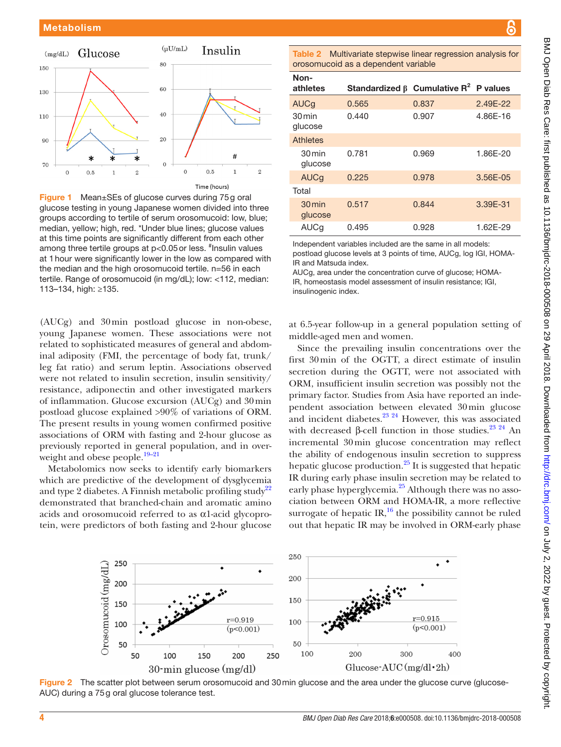

<span id="page-3-0"></span>**Figure 1** Mean±SEs of glucose curves during 75g oral glucose testing in young Japanese women divided into three groups according to tertile of serum orosomucoid: low, blue; median, yellow; high, red. \*Under blue lines; glucose values at this time points are significantly different from each other among three tertile groups at p<0.05 or less. <sup>#</sup>Insulin values at 1hour were significantly lower in the low as compared with the median and the high orosomucoid tertile. n=56 in each tertile. Range of orosomucoid (in mg/dL); low: <112, median: 113–134, high: ≥135.

(AUCg) and 30min postload glucose in non-obese, young Japanese women. These associations were not related to sophisticated measures of general and abdominal adiposity (FMI, the percentage of body fat, trunk/ leg fat ratio) and serum leptin. Associations observed were not related to insulin secretion, insulin sensitivity/ resistance, adiponectin and other investigated markers of inflammation. Glucose excursion (AUCg) and 30min postload glucose explained >90% of variations of ORM. The present results in young women confirmed positive associations of ORM with fasting and 2-hour glucose as previously reported in general population, and in overweight and obese people. $19-21$ 

Metabolomics now seeks to identify early biomarkers which are predictive of the development of dysglycemia and type 2 diabetes. A Finnish metabolic profiling study<sup>[22](#page-5-11)</sup> demonstrated that branched-chain and aromatic amino acids and orosomucoid referred to as α1-acid glycoprotein, were predictors of both fasting and 2-hour glucose

<span id="page-3-1"></span>Table 2 Multivariate stepwise linear regression analysis for orosomucoid as a dependent variable

| Non-<br>athletes               | Standardized $\beta$ Cumulative R <sup>2</sup> P values |       |          |
|--------------------------------|---------------------------------------------------------|-------|----------|
| AUCq                           | 0.565                                                   | 0.837 | 2.49E-22 |
| 30 min<br>glucose              | 0.440                                                   | 0.907 | 4.86E-16 |
| <b>Athletes</b>                |                                                         |       |          |
| 30 min<br>glucose              | 0.781                                                   | 0.969 | 1.86E-20 |
| <b>AUCg</b>                    | 0.225                                                   | 0.978 | 3.56E-05 |
| Total                          |                                                         |       |          |
| $30 \,\mathrm{min}$<br>glucose | 0.517                                                   | 0.844 | 3.39E-31 |
| AUCq                           | 0.495                                                   | 0.928 | 1.62E-29 |

Independent variables included are the same in all models:

postload glucose levels at 3 points of time, AUCg, log IGI, HOMA-IR and Matsuda index.

AUCg, area under the concentration curve of glucose; HOMA-IR, homeostasis model assessment of insulin resistance; IGI, insulinogenic index.

at 6.5-year follow-up in a general population setting of middle-aged men and women.

Since the prevailing insulin concentrations over the first 30min of the OGTT, a direct estimate of insulin secretion during the OGTT, were not associated with ORM, insufficient insulin secretion was possibly not the primary factor. Studies from Asia have reported an independent association between elevated 30min glucose and incident diabetes. $^{23}$   $^{24}$  However, this was associated with decreased β-cell function in those studies.<sup>23</sup> 24</sup> An incremental 30min glucose concentration may reflect the ability of endogenous insulin secretion to suppress hepatic glucose production.<sup>[25](#page-5-13)</sup> It is suggested that hepatic IR during early phase insulin secretion may be related to early phase hyperglycemia.<sup>[25](#page-5-13)</sup> Although there was no association between ORM and HOMA-IR, a more reflective surrogate of hepatic IR, $^{16}$  the possibility cannot be ruled out that hepatic IR may be involved in ORM-early phase



<span id="page-3-2"></span>Figure 2 The scatter plot between serum orosomucoid and 30 min glucose and the area under the glucose curve (glucose-AUC) during a 75g oral glucose tolerance test.

Б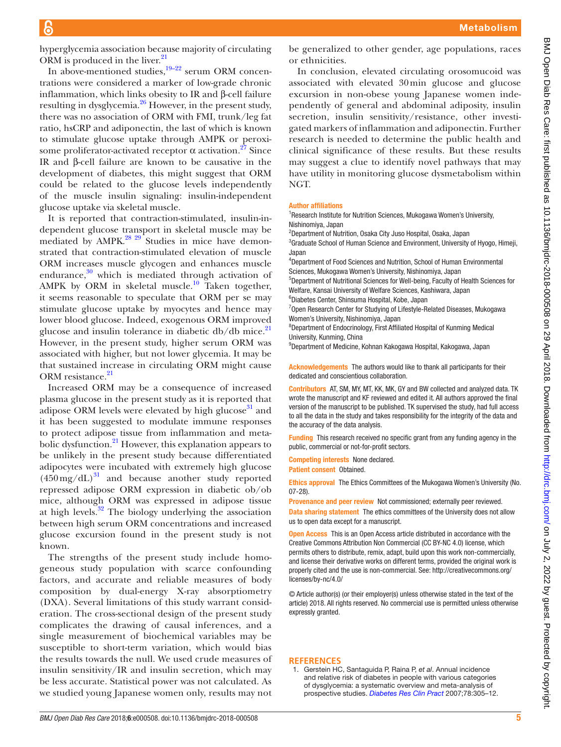hyperglycemia association because majority of circulating ORM is produced in the liver. $^{21}$  $^{21}$  $^{21}$ 

In above-mentioned studies, $19-22$  serum ORM concentrations were considered a marker of low-grade chronic inflammation, which links obesity to IR and β-cell failure resulting in dysglycemia.<sup>[26](#page-5-16)</sup> However, in the present study, there was no association of ORM with FMI, trunk/leg fat ratio, hsCRP and adiponectin, the last of which is known to stimulate glucose uptake through AMPK or peroxisome proliferator-activated receptor α activation.<sup>27</sup> Since IR and β-cell failure are known to be causative in the development of diabetes, this might suggest that ORM could be related to the glucose levels independently of the muscle insulin signaling: insulin-independent glucose uptake via skeletal muscle.

It is reported that contraction-stimulated, insulin-independent glucose transport in skeletal muscle may be mediated by  $\triangle AMPK$ .<sup>28 29</sup> Studies in mice have demonstrated that contraction-stimulated elevation of muscle ORM increases muscle glycogen and enhances muscle endurance, $30$  which is mediated through activation of AMPK by ORM in skeletal muscle.<sup>10</sup> Taken together, it seems reasonable to speculate that ORM per se may stimulate glucose uptake by myocytes and hence may lower blood glucose. Indeed, exogenous ORM improved glucose and insulin tolerance in diabetic  $db/db$  mice.<sup>[21](#page-5-15)</sup> However, in the present study, higher serum ORM was associated with higher, but not lower glycemia. It may be that sustained increase in circulating ORM might cause ORM resistance.<sup>[21](#page-5-15)</sup>

Increased ORM may be a consequence of increased plasma glucose in the present study as it is reported that adipose ORM levels were elevated by high glucose $31$  and it has been suggested to modulate immune responses to protect adipose tissue from inflammation and metabolic dysfunction.<sup>21</sup> However, this explanation appears to be unlikely in the present study because differentiated adipocytes were incubated with extremely high glucose  $(450 \,\text{mg/dL})^{31}$  and because another study reported repressed adipose ORM expression in diabetic ob/ob mice, although ORM was expressed in adipose tissue at high levels. $32$  The biology underlying the association between high serum ORM concentrations and increased glucose excursion found in the present study is not known.

The strengths of the present study include homogeneous study population with scarce confounding factors, and accurate and reliable measures of body composition by dual-energy X-ray absorptiometry (DXA). Several limitations of this study warrant consideration. The cross-sectional design of the present study complicates the drawing of causal inferences, and a single measurement of biochemical variables may be susceptible to short-term variation, which would bias the results towards the null. We used crude measures of insulin sensitivity/IR and insulin secretion, which may be less accurate. Statistical power was not calculated. As we studied young Japanese women only, results may not be generalized to other gender, age populations, races or ethnicities.

In conclusion, elevated circulating orosomucoid was associated with elevated 30min glucose and glucose excursion in non-obese young Japanese women independently of general and abdominal adiposity, insulin secretion, insulin sensitivity/resistance, other investigated markers of inflammation and adiponectin. Further research is needed to determine the public health and clinical significance of these results. But these results may suggest a clue to identify novel pathways that may have utility in monitoring glucose dysmetabolism within NGT.

#### Author affiliations

<sup>1</sup> Research Institute for Nutrition Sciences, Mukogawa Women's University, Nishinomiya, Japan

2 Department of Nutrition, Osaka City Juso Hospital, Osaka, Japan <sup>3</sup>Graduate School of Human Science and Environment, University of Hyogo, Himeji, Japan

4 Department of Food Sciences and Nutrition, School of Human Environmental Sciences, Mukogawa Women's University, Nishinomiya, Japan

5 Department of Nutritional Sciences for Well-being, Faculty of Health Sciences for Welfare, Kansai University of Welfare Sciences, Kashiwara, Japan

6 Diabetes Center, Shinsuma Hospital, Kobe, Japan

<sup>7</sup>Open Research Center for Studying of Lifestyle-Related Diseases, Mukogawa Women's University, Nishinomiya, Japan

<sup>8</sup>Department of Endocrinology, First Affiliated Hospital of Kunming Medical University, Kunming, China

9 Department of Medicine, Kohnan Kakogawa Hospital, Kakogawa, Japan

Acknowledgements The authors would like to thank all participants for their dedicated and conscientious collaboration.

Contributors AT, SM, MY, MT, KK, MK, GY and BW collected and analyzed data. TK wrote the manuscript and KF reviewed and edited it. All authors approved the final version of the manuscript to be published. TK supervised the study, had full access to all the data in the study and takes responsibility for the integrity of the data and the accuracy of the data analysis.

Funding This research received no specific grant from any funding agency in the public, commercial or not-for-profit sectors.

Competing interests None declared.

Patient consent Obtained.

Ethics approval The Ethics Committees of the Mukogawa Women's University (No. 07-28).

Provenance and peer review Not commissioned; externally peer reviewed. Data sharing statement The ethics committees of the University does not allow us to open data except for a manuscript.

Open Access This is an Open Access article distributed in accordance with the Creative Commons Attribution Non Commercial (CC BY-NC 4.0) license, which permits others to distribute, remix, adapt, build upon this work non-commercially, and license their derivative works on different terms, provided the original work is properly cited and the use is non-commercial. See: [http://creativecommons.org/](http://creativecommons.org/licenses/by-nc/4.0/) [licenses/by-nc/4.0/](http://creativecommons.org/licenses/by-nc/4.0/)

© Article author(s) (or their employer(s) unless otherwise stated in the text of the article) 2018. All rights reserved. No commercial use is permitted unless otherwise expressly granted.

#### **References**

<span id="page-4-0"></span>1. Gerstein HC, Santaguida P, Raina P, *et al*. Annual incidence and relative risk of diabetes in people with various categories of dysglycemia: a systematic overview and meta-analysis of prospective studies. *[Diabetes Res Clin Pract](http://dx.doi.org/10.1016/j.diabres.2007.05.004)* 2007;78:305–12.